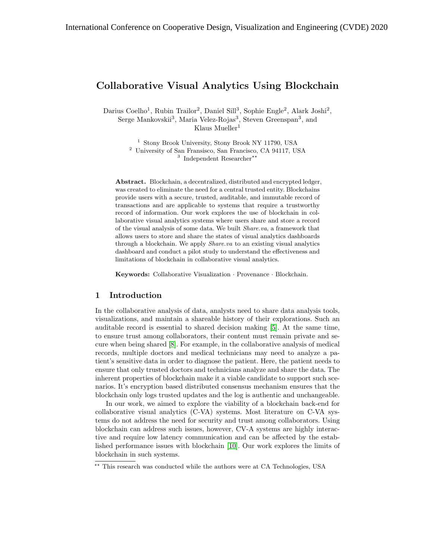# Collaborative Visual Analytics Using Blockchain

Darius Coelho<sup>1</sup>, Rubin Trailor<sup>2</sup>, Daniel Sill<sup>3</sup>, Sophie Engle<sup>2</sup>, Alark Joshi<sup>2</sup>, Serge Mankovskii<sup>3</sup>, Maria Velez-Rojas<sup>3</sup>, Steven Greenspan<sup>3</sup>, and Klaus Mueller<sup>1</sup>

> <sup>1</sup> Stony Brook University, Stony Brook NY 11790, USA <sup>2</sup> University of San Fransisco, San Francisco, CA 94117, USA <sup>3</sup> Independent Researcher<sup>\*\*</sup>

Abstract. Blockchain, a decentralized, distributed and encrypted ledger, was created to eliminate the need for a central trusted entity. Blockchains provide users with a secure, trusted, auditable, and immutable record of transactions and are applicable to systems that require a trustworthy record of information. Our work explores the use of blockchain in collaborative visual analytics systems where users share and store a record of the visual analysis of some data. We built Share.va, a framework that allows users to store and share the states of visual analytics dashboards through a blockchain. We apply Share.va to an existing visual analytics dashboard and conduct a pilot study to understand the effectiveness and limitations of blockchain in collaborative visual analytics.

Keywords: Collaborative Visualization · Provenance · Blockchain.

# 1 Introduction

In the collaborative analysis of data, analysts need to share data analysis tools, visualizations, and maintain a shareable history of their explorations. Such an auditable record is essential to shared decision making [\[5\]](#page-9-0). At the same time, to ensure trust among collaborators, their content must remain private and secure when being shared [\[8\]](#page-9-1). For example, in the collaborative analysis of medical records, multiple doctors and medical technicians may need to analyze a patient's sensitive data in order to diagnose the patient. Here, the patient needs to ensure that only trusted doctors and technicians analyze and share the data. The inherent properties of blockchain make it a viable candidate to support such scenarios. It's encryption based distributed consensus mechanism ensures that the blockchain only logs trusted updates and the log is authentic and unchangeable.

In our work, we aimed to explore the viability of a blockchain back-end for collaborative visual analytics (C-VA) systems. Most literature on C-VA systems do not address the need for security and trust among collaborators. Using blockchain can address such issues, however, CV-A systems are highly interactive and require low latency communication and can be affected by the established performance issues with blockchain [\[10\]](#page-9-2). Our work explores the limits of blockchain in such systems.

<sup>\*\*</sup> This research was conducted while the authors were at CA Technologies, USA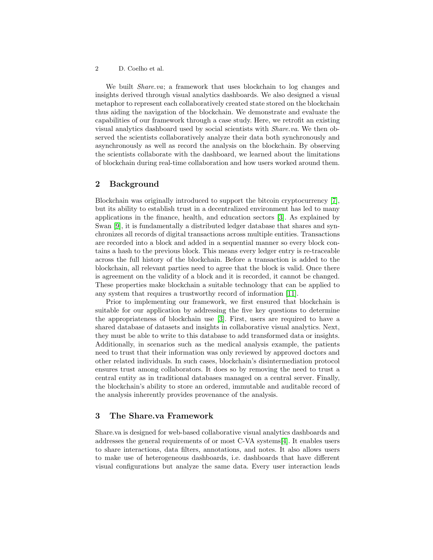#### $\overline{2}$ D. Coelho et al.

We built *Share.va*; a framework that uses blockchain to log changes and insights derived through visual analytics dashboards. We also designed a visual metaphor to represent each collaboratively created state stored on the blockchain thus aiding the navigation of the blockchain. We demonstrate and evaluate the capabilities of our framework through a case study. Here, we retrofit an existing visual analytics dashboard used by social scientists with *Share.va*. We then observed the scientists collaboratively analyze their data both synchronously and asynchronously as well as record the analysis on the blockchain. By observing the scientists collaborate with the dashboard, we learned about the limitations of blockchain during real-time collaboration and how users worked around them.

### $\overline{2}$ **Background**

Blockchain was originally introduced to support the bitcoin cryptocurrency [7]. but its ability to establish trust in a decentralized environment has led to many applications in the finance, health, and education sectors [3]. As explained by Swan [9], it is fundamentally a distributed ledger database that shares and synchronizes all records of digital transactions across multiple entities. Transactions are recorded into a block and added in a sequential manner so every block contains a hash to the previous block. This means every ledger entry is re-traceable across the full history of the blockchain. Before a transaction is added to the blockchain, all relevant parties need to agree that the block is valid. Once there is agreement on the validity of a block and it is recorded, it cannot be changed. These properties make blockchain a suitable technology that can be applied to any system that requires a trustworthy record of information [11].

Prior to implementing our framework, we first ensured that blockchain is suitable for our application by addressing the five key questions to determine the appropriateness of blockchain use [3]. First, users are required to have a shared database of datasets and insights in collaborative visual analytics. Next, they must be able to write to this database to add transformed data or insights. Additionally, in scenarios such as the medical analysis example, the patients need to trust that their information was only reviewed by approved doctors and other related individuals. In such cases, blockchain's disintermediation protocol ensures trust among collaborators. It does so by removing the need to trust a central entity as in traditional databases managed on a central server. Finally, the blockchain's ability to store an ordered, immutable and auditable record of the analysis inherently provides provenance of the analysis.

## 3 The Share.va Framework

Share va is designed for web-based collaborative visual analytics dashboards and addresses the general requirements of or most C-VA systems[4]. It enables users to share interactions, data filters, annotations, and notes. It also allows users to make use of heterogeneous dashboards, i.e. dashboards that have different visual configurations but analyze the same data. Every user interaction leads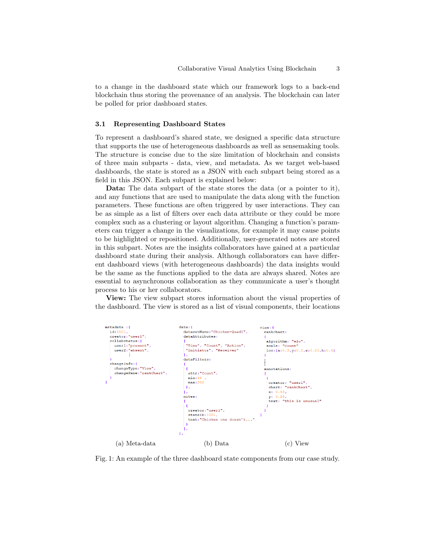to a change in the dashboard state which our framework logs to a back-end blockchain thus storing the provenance of an analysis. The blockchain can later be polled for prior dashboard states.

#### $3.1$ **Representing Dashboard States**

To represent a dashboard's shared state, we designed a specific data structure that supports the use of heterogeneous dashboards as well as sensemaking tools. The structure is concise due to the size limitation of blockchain and consists of three main subparts - data, view, and metadata. As we target web-based dashboards, the state is stored as a JSON with each subpart being stored as a field in this JSON. Each subpart is explained below:

**Data:** The data subpart of the state stores the data (or a pointer to it). and any functions that are used to manipulate the data along with the function parameters. These functions are often triggered by user interactions. They can be as simple as a list of filters over each data attribute or they could be more complex such as a clustering or layout algorithm. Changing a function's parameters can trigger a change in the visualizations, for example it may cause points to be highlighted or repositioned. Additionally, user-generated notes are stored in this subpart. Notes are the insights collaborators have gained at a particular dashboard state during their analysis. Although collaborators can have different dashboard views (with heterogeneous dashboards) the data insights would be the same as the functions applied to the data are always shared. Notes are essential to asynchronous collaboration as they communicate a user's thought process to his or her collaborators.

View: The view subpart stores information about the visual properties of the dashboard. The view is stored as a list of visual components, their locations



Fig. 1: An example of the three dashboard state components from our case study.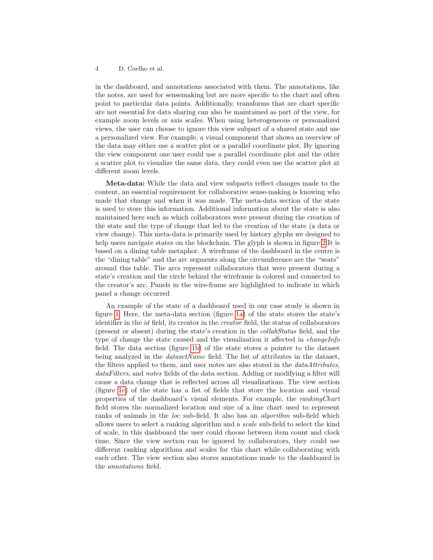#### $\sqrt{4}$ D. Coelho et al.

in the dashboard, and annotations associated with them. The annotations, like the notes, are used for sensemaking but are more specific to the chart and often point to particular data points. Additionally, transforms that are chart specific are not essential for data sharing can also be maintained as part of the view, for example zoom levels or axis scales. When using heterogeneous or personalized views, the user can choose to ignore this view subpart of a shared state and use a personalized view. For example, a visual component that shows an overview of the data may either use a scatter plot or a parallel coordinate plot. By ignoring the view component one user could use a parallel coordinate plot and the other a scatter plot to visualize the same data, they could even use the scatter plot at different zoom levels.

Meta-data: While the data and view subparts reflect changes made to the content, an essential requirement for collaborative sense-making is knowing who made that change and when it was made. The meta-data section of the state is used to store this information. Additional information about the state is also maintained here such as which collaborators were present during the creation of the state and the type of change that led to the creation of the state (a data or view change). This meta-data is primarily used by history glyphs we designed to help users navigate states on the blockchain. The glyph is shown in figure 2 It is based on a dining table metaphor. A wireframe of the dashboard in the centre is the "dining table" and the arc segments along the circumference are the "seats" around this table. The arcs represent collaborators that were present during a state's creation and the circle behind the wireframe is colored and connected to the creator's arc. Panels in the wire-frame are highlighted to indicate in which panel a change occurred

An example of the state of a dashboard used in our case study is shown in figure 1. Here, the meta-data section (figure 1a) of the state stores the state's identifier in the id field, its creator in the creator field, the status of collaborators (present or absent) during the state's creation in the *collabStatus* field, and the type of change the state caused and the visualization it affected in *changeInfo* field. The data section (figure 1b) of the state stores a pointer to the dataset being analyzed in the *datasetName* field. The list of attributes in the dataset, the filters applied to them, and user notes are also stored in the *dataAttributes*, *dataFilters*, and *notes* fields of the data section. Adding or modifying a filter will cause a data change that is reflected across all visualizations. The view section (figure 1c) of the state has a list of fields that store the location and visual properties of the dashboard's visual elements. For example, the ranking Chart field stores the normalized location and size of a line chart used to represent ranks of animals in the loc sub-field. It also has an *algorithm* sub-field which allows users to select a ranking algorithm and a *scale* sub-field to select the kind of scale, in this dashboard the user could choose between item count and clock time. Since the view section can be ignored by collaborators, they could use different ranking algorithms and scales for this chart while collaborating with each other. The view section also stores annotations made to the dashboard in the *annotations* field.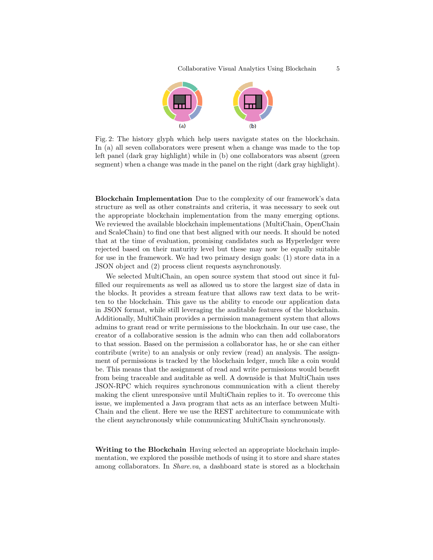

Fig. 2: The history glyph which help users navigate states on the blockchain. In (a) all seven collaborators were present when a change was made to the top left panel (dark gray highlight) while in (b) one collaborators was absent (green segment) when a change was made in the panel on the right (dark gray highlight).

Blockchain Implementation Due to the complexity of our framework's data structure as well as other constraints and criteria, it was necessary to seek out the appropriate blockchain implementation from the many emerging options. We reviewed the available blockchain implementations (MultiChain, OpenChain and ScaleChain) to find one that best aligned with our needs. It should be noted that at the time of evaluation, promising candidates such as Hyperledger were rejected based on their maturity level but these may now be equally suitable for use in the framework. We had two primary design goals: (1) store data in a JSON object and (2) process client requests asynchronously.

We selected MultiChain, an open source system that stood out since it fulfilled our requirements as well as allowed us to store the largest size of data in the blocks. It provides a stream feature that allows raw text data to be written to the blockchain. This gave us the ability to encode our application data in JSON format, while still leveraging the auditable features of the blockchain. Additionally, MultiChain provides a permission management system that allows admins to grant read or write permissions to the blockchain. In our use case, the creator of a collaborative session is the admin who can then add collaborators to that session. Based on the permission a collaborator has, he or she can either contribute (write) to an analysis or only review (read) an analysis. The assignment of permissions is tracked by the blockchain ledger, much like a coin would be. This means that the assignment of read and write permissions would benefit from being traceable and auditable as well. A downside is that MultiChain uses JSON-RPC which requires synchronous communication with a client thereby making the client unresponsive until MultiChain replies to it. To overcome this issue, we implemented a Java program that acts as an interface between Multi-Chain and the client. Here we use the REST architecture to communicate with the client asynchronously while communicating MultiChain synchronously.

**Writing to the Blockchain** Having selected an appropriate blockchain implementation, we explored the possible methods of using it to store and share states among collaborators. In *Share.va*, a dashboard state is stored as a blockchain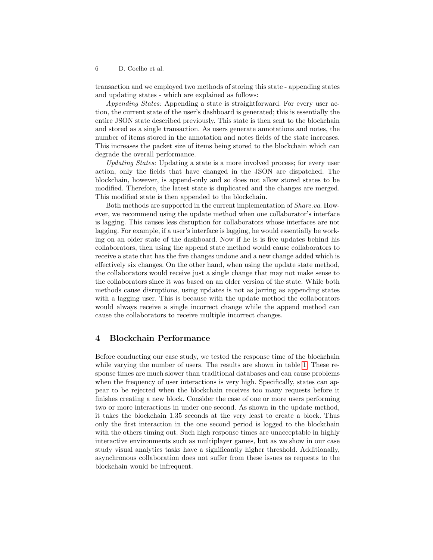6 D. Coelho et al.

transaction and we employed two methods of storing this state - appending states and updating states - which are explained as follows:

*Appending States:* Appending a state is straightforward. For every user action, the current state of the user's dashboard is generated; this is essentially the entire JSON state described previously. This state is then sent to the blockchain and stored as a single transaction. As users generate annotations and notes, the number of items stored in the annotation and notes fields of the state increases. This increases the packet size of items being stored to the blockchain which can degrade the overall performance.

Updating States: Updating a state is a more involved process; for every user action, only the fields that have changed in the JSON are dispatched. The blockchain, however, is append-only and so does not allow stored states to be modified. Therefore, the latest state is duplicated and the changes are merged. This modified state is then appended to the blockchain.

Both methods are supported in the current implementation of *Share.va*. However, we recommend using the update method when one collaborator's interface is lagging. This causes less disruption for collaborators whose interfaces are not lagging. For example, if a user's interface is lagging, he would essentially be working on an older state of the dashboard. Now if he is is five updates behind his collaborators, then using the append state method would cause collaborators to receive a state that has the five changes undone and a new change added which is effectively six changes. On the other hand, when using the update state method, the collaborators would receive just a single change that may not make sense to the collaborators since it was based on an older version of the state. While both methods cause disruptions, using updates is not as jarring as appending states with a lagging user. This is because with the update method the collaborators would always receive a single incorrect change while the append method can cause the collaborators to receive multiple incorrect changes.

# **Blockchain Performance**  $\overline{4}$

Before conducting our case study, we tested the response time of the blockchain while varying the number of users. The results are shown in table 1. These response times are much slower than traditional databases and can cause problems when the frequency of user interactions is very high. Specifically, states can appear to be rejected when the blockchain receives too many requests before it finishes creating a new block. Consider the case of one or more users performing two or more interactions in under one second. As shown in the update method, it takes the blockchain 1.35 seconds at the very least to create a block. Thus only the first interaction in the one second period is logged to the blockchain with the others timing out. Such high response times are unacceptable in highly interactive environments such as multiplayer games, but as we show in our case study visual analytics tasks have a significantly higher threshold. Additionally, asynchronous collaboration does not suffer from these issues as requests to the blockchain would be infrequent.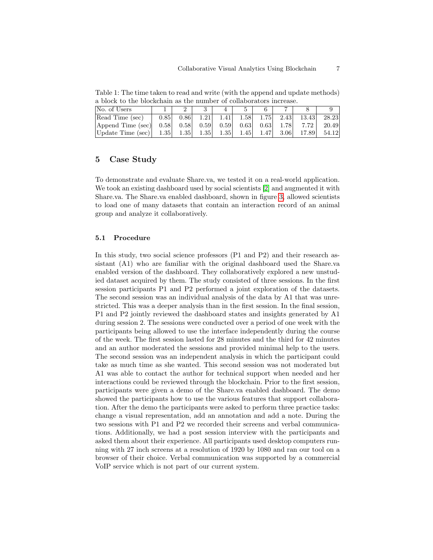Table 1: The time taken to read and write (with the append and update methods) a block to the blockchain as the number of collaborators increase

| a pioch to the piochemani as the number of comaporators mercase. |      |                       |  |                       |      |      |      |                   |       |
|------------------------------------------------------------------|------|-----------------------|--|-----------------------|------|------|------|-------------------|-------|
| No. of Users                                                     |      |                       |  |                       |      |      |      |                   |       |
| Read Time (sec)                                                  | 0.85 |                       |  | $0.86$ 1.21 1.41 1.58 |      | 1.75 | 2.43 | 13.43             | 28.23 |
| Append Time (sec)                                                |      | $0.58$ 0.58 0.59 0.59 |  |                       | 0.63 | 0.63 | 1.78 | 7.72 <sub>1</sub> | 20.49 |
| Update Time (sec)  $1.35$                                        |      |                       |  | $1.35$ $1.35$ $1.35$  | 1.45 | 1.47 | 3.06 | 17.89             | 54.12 |

# Case Study  $\bf{5}$

To demonstrate and evaluate Share.va, we tested it on a real-world application. We took an existing dashboard used by social scientists [2] and augmented it with Share.va. The Share.va enabled dashboard, shown in figure 3, allowed scientists to load one of many datasets that contain an interaction record of an animal group and analyze it collaboratively.

#### $5.1$ Procedure

In this study, two social science professors  $(P1 \text{ and } P2)$  and their research assistant (A1) who are familiar with the original dashboard used the Share.va enabled version of the dashboard. They collaboratively explored a new unstudied dataset acquired by them. The study consisted of three sessions. In the first session participants P1 and P2 performed a joint exploration of the datasets. The second session was an individual analysis of the data by A1 that was unrestricted. This was a deeper analysis than in the first session. In the final session, P1 and P2 jointly reviewed the dashboard states and insights generated by A1 during session 2. The sessions were conducted over a period of one week with the participants being allowed to use the interface independently during the course of the week. The first session lasted for 28 minutes and the third for 42 minutes and an author moderated the sessions and provided minimal help to the users. The second session was an independent analysis in which the participant could take as much time as she wanted. This second session was not moderated but A1 was able to contact the author for technical support when needed and her interactions could be reviewed through the blockchain. Prior to the first session, participants were given a demo of the Share va enabled dashboard. The demo showed the participants how to use the various features that support collaboration. After the demo the participants were asked to perform three practice tasks: change a visual representation, add an annotation and add a note. During the two sessions with P1 and P2 we recorded their screens and verbal communications. Additionally, we had a post session interview with the participants and asked them about their experience. All participants used desktop computers running with 27 inch screens at a resolution of 1920 by 1080 and ran our tool on a browser of their choice. Verbal communication was supported by a commercial VoIP service which is not part of our current system.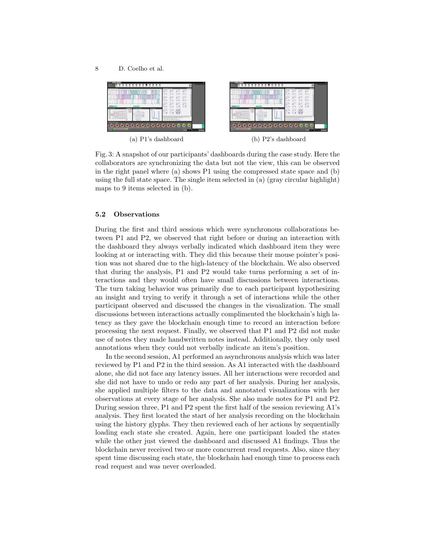

Fig. 3: A snapshot of our participants' dashboards during the case study. Here the collaborators are synchronizing the data but not the view, this can be observed in the right panel where (a) shows P1 using the compressed state space and (b) using the full state space. The single item selected in (a) (grav circular highlight) maps to 9 items selected in  $(b)$ .

#### $5.2$ **Observations**

During the first and third sessions which were synchronous collaborations between P1 and P2, we observed that right before or during an interaction with the dashboard they always verbally indicated which dashboard item they were looking at or interacting with. They did this because their mouse pointer's position was not shared due to the high-latency of the blockchain. We also observed that during the analysis, P1 and P2 would take turns performing a set of interactions and they would often have small discussions between interactions. The turn taking behavior was primarily due to each participant hypothesizing an insight and trying to verify it through a set of interactions while the other participant observed and discussed the changes in the visualization. The small discussions between interactions actually complimented the blockchain's high latency as they gave the blockchain enough time to record an interaction before processing the next request. Finally, we observed that P1 and P2 did not make use of notes they made handwritten notes instead. Additionally, they only used annotations when they could not verbally indicate an item's position.

In the second session, A1 performed an asynchronous analysis which was later reviewed by P1 and P2 in the third session. As A1 interacted with the dashboard alone, she did not face any latency issues. All her interactions were recorded and she did not have to undo or redo any part of her analysis. During her analysis, she applied multiple filters to the data and annotated visualizations with her observations at every stage of her analysis. She also made notes for P1 and P2. During session three, P1 and P2 spent the first half of the session reviewing A1's analysis. They first located the start of her analysis recording on the blockchain using the history glyphs. They then reviewed each of her actions by sequentially loading each state she created. Again, here one participant loaded the states while the other just viewed the dashboard and discussed A1 findings. Thus the blockchain never received two or more concurrent read requests. Also, since they spent time discussing each state, the blockchain had enough time to process each read request and was never overloaded.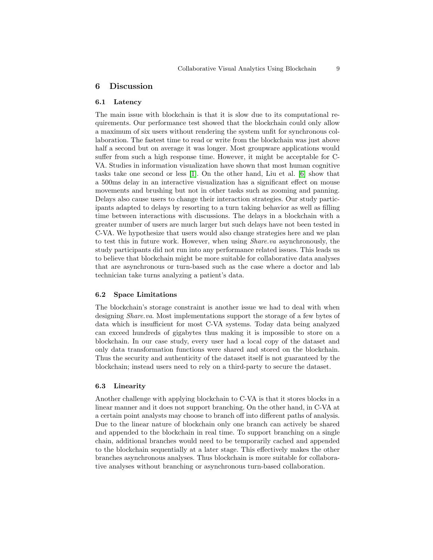#### 6 **Discussion**

#### $6.1$ Latency

The main issue with blockchain is that it is slow due to its computational requirements. Our performance test showed that the blockchain could only allow a maximum of six users without rendering the system unfit for synchronous collaboration. The fastest time to read or write from the blockchain was just above half a second but on average it was longer. Most groupware applications would suffer from such a high response time. However, it might be acceptable for C-VA. Studies in information visualization have shown that most human cognitive tasks take one second or less [1]. On the other hand, Liu et al.  $[6]$  show that a 500ms delay in an interactive visualization has a significant effect on mouse movements and brushing but not in other tasks such as zooming and panning. Delays also cause users to change their interaction strategies. Our study participants adapted to delays by resorting to a turn taking behavior as well as filling time between interactions with discussions. The delays in a blockchain with a greater number of users are much larger but such delays have not been tested in C-VA. We hypothesize that users would also change strategies here and we plan to test this in future work. However, when using Share.va asynchronously, the study participants did not run into any performance related issues. This leads us to believe that blockchain might be more suitable for collaborative data analyses that are asynchronous or turn-based such as the case where a doctor and lab technician take turns analyzing a patient's data.

#### $6.2$ **Space Limitations**

The blockchain's storage constraint is another issue we had to deal with when designing *Share.va*. Most implementations support the storage of a few bytes of data which is insufficient for most C-VA systems. Today data being analyzed can exceed hundreds of gigabytes thus making it is impossible to store on a blockchain. In our case study, every user had a local copy of the dataset and only data transformation functions were shared and stored on the blockchain. Thus the security and authenticity of the dataset itself is not guaranteed by the blockchain; instead users need to rely on a third-party to secure the dataset.

#### $6.3$ Linearity

Another challenge with applying blockchain to C-VA is that it stores blocks in a linear manner and it does not support branching. On the other hand, in C-VA at a certain point analysts may choose to branch off into different paths of analysis. Due to the linear nature of blockchain only one branch can actively be shared and appended to the blockchain in real time. To support branching on a single chain, additional branches would need to be temporarily cached and appended to the blockchain sequentially at a later stage. This effectively makes the other branches asynchronous analyses. Thus blockchain is more suitable for collaborative analyses without branching or asynchronous turn-based collaboration.